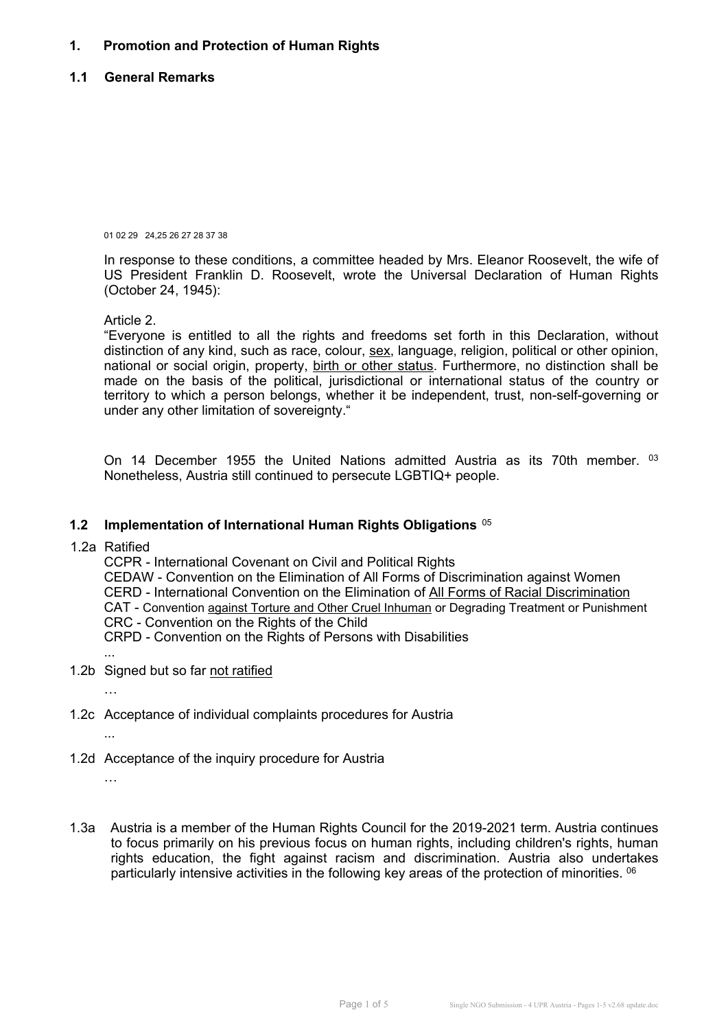# **1. Promotion and Protection of Human Rights**

## **1.1 General Remarks**

01 02 29 24,25 26 27 28 37 38

In response to these conditions, <sup>a</sup> committee headed by Mrs. Eleanor Roosevelt, the wife of US President Franklin D. Roosevelt, wrote the Universal Declaration of Human Rights (October 24, 1945):

Article 2.

"Everyone is entitled to all the rights and freedoms set forth in this Declaration, without distinction of any kind, such as race, colour, sex, language, religion, political or other opinion, national or social origin, property, birth or other status. Furthermore, no distinction shall be made on the basis of the political, jurisdictional or international status of the country or territory to which <sup>a</sup> person belongs, whether it be independent, trust, non-self-governing or under any other limitation of sovereignty."

On 14 December 1955 the United Nations admitted Austria as its 70th member.  $^{\text{o}3}$ Nonetheless, Austria still continued to persecute LGBTIQ+ people.

#### **1.2 Implementation of International Human Rights Obligations** <sup>05</sup>

1.2a Ratified

CCPR - International Covenant on Civil and Political Rights CEDAW - Convention on the Elimination of All Forms of Discrimination against Women CERD - International Convention on the Elimination of All Forms of Racial Discrimination CAT - Convention against Torture and Other Cruel Inhuman or Degrading Treatment or Punishment CRC - Convention on the Rights of the Child CRPD - Convention on the Rights of Persons with Disabilities

1.2b Signed but so far not ratified

…

...

1.2c Acceptance of individual complaints procedures for Austria

...

1.2d Acceptance of the inquiry procedure for Austria

…

1.3a Austria is <sup>a</sup> member of the Human Rights Council for the 2019-2021 term. Austria continues to focus primarily on his previous focus on human rights, including children's rights, human rights education, the fight against racism and discrimination. Austria also undertakes particularly intensive activities in the following key areas of the protection of minorities. <sup>06</sup>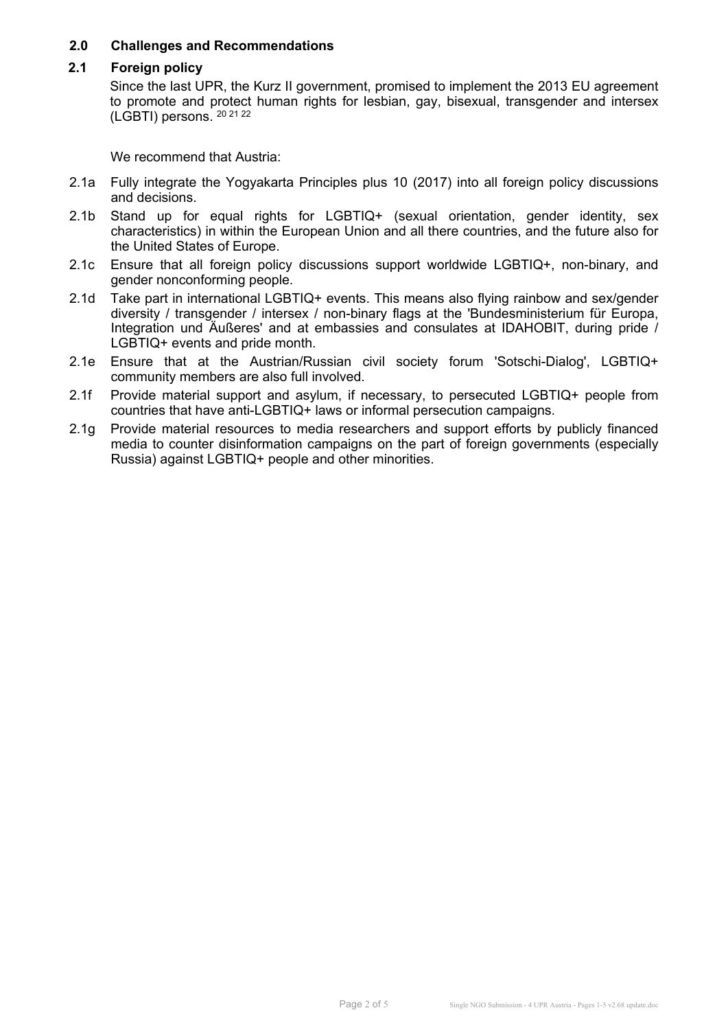## **2.0 Challenges and Recommendations**

### **2.1 Foreign policy**

Since the last UPR, the Kurz II government, promised to implement the 2013 EU agreement to promote and protect human rights for lesbian, gay, bisexual, transgender and intersex (LGBTI) persons. <sup>20 21 22</sup>

- 2.1a Fully integrate the Yogyakarta Principles plus 10 (2017) into all foreign policy discussions and decisions.
- 2.1b Stand up for equal rights for LGBTIQ+ (sexual orientation, gender identity, sex characteristics) in within the European Union and all there countries, and the future also for the United States of Europe.
- 2.1c Ensure that all foreign policy discussions support worldwide LGBTIQ+, non-binary, and gender nonconforming people.
- 2.1d Take part in international LGBTIQ+ events. This means also flying rainbow and sex/gender diversity / transgender / intersex / non-binary flags at the 'Bundesministerium für Europa, Integration und Äußeres' and at embassies and consulates at IDAHOBIT, during pride / LGBTIQ+ events and pride month.
- 2.1e Ensure that at the Austrian/Russian civil society forum 'Sotschi-Dialog', LGBTIQ+ community members are also full involved.
- 2.1f Provide material support and asylum, if necessary, to persecuted LGBTIQ+ people from countries that have anti-LGBTIQ+ laws or informal persecution campaigns.
- 2.1g Provide material resources to media researchers and support efforts by publicly financed media to counter disinformation campaigns on the part of foreign governments (especially Russia) against LGBTIQ+ people and other minorities.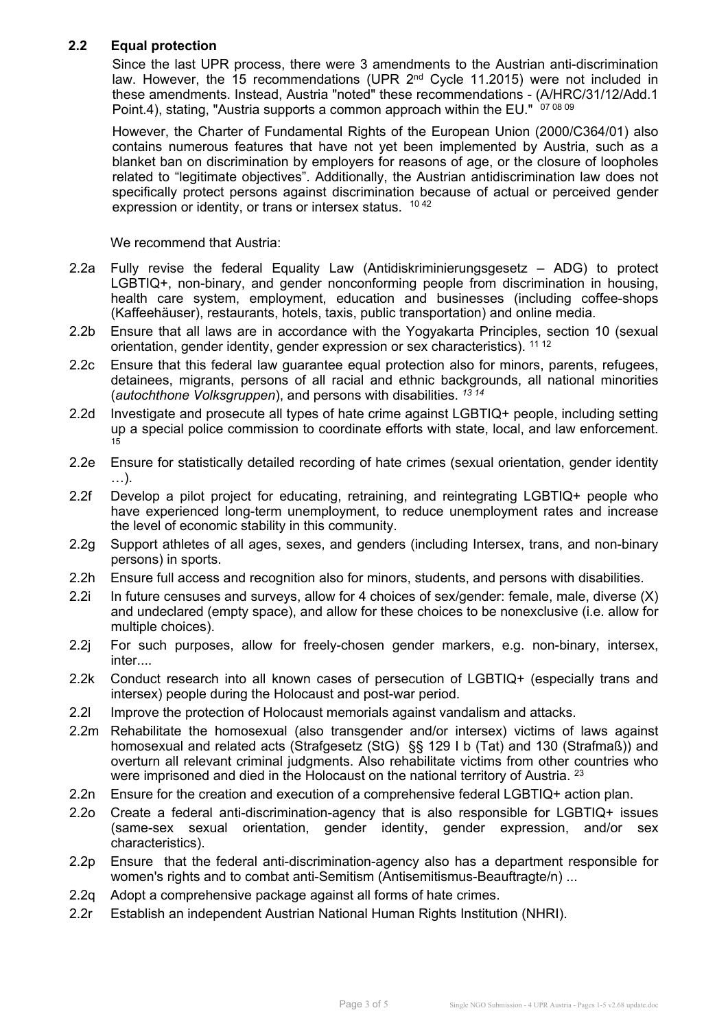# **2.2 Equal protection**

Since the last UPR process, there were 3 amendments to the Austrian anti-discrimination law. However, the 15 recommendations (UPR 2<sup>nd</sup> Cycle 11.2015) were not included in these amendments. Instead, Austria "noted" these recommendations - (A/HRC/31/12/Add.1 Point.4), stating, "Austria supports a common approach within the EU."  $\,$  07 08 09

However, the Charter of Fundamental Rights of the European Union (2000/C364/01) also contains numerous features that have not yet been implemented by Austria, such as <sup>a</sup> blanket ban on discrimination by employers for reasons of age, or the closure of loopholes related to "legitimate objectives". Additionally, the Austrian antidiscrimination law does not specifically protect persons against discrimination because of actual or perceived gender expression or identity, or trans or intersex status. <sup>10 42</sup>

- 2.2a Fully revise the federal Equality Law (Antidiskriminierungsgesetz ADG) to protect LGBTIQ+, non-binary, and gender nonconforming people from discrimination in housing, health care system, employment, education and businesses (including coffee-shops (Kaffeehäuser), restaurants, hotels, taxis, public transportation) and online media.
- 2.2b Ensure that all laws are in accordance with the Yogyakarta Principles, section 10 (sexual orientation, gender identity, gender expression or sex characteristics). <sup>11 12</sup>
- 2.2c Ensure that this federal law guarantee equal protection also for minors, parents, refugees, detainees, migrants, persons of all racial and ethnic backgrounds, all national minorities (*autochthone Volksgruppen*), and persons with disabilities. *13 14*
- 2.2d Investigate and prosecute all types of hate crime against LGBTIQ+ people, including setting up <sup>a</sup> special police commission to coordinate efforts with state, local, and law enforcement. 15
- 2.2e Ensure for statistically detailed recording of hate crimes (sexual orientation, gender identity …).
- 2.2f Develop <sup>a</sup> pilot project for educating, retraining, and reintegrating LGBTIQ+ people who have experienced long-term unemployment, to reduce unemployment rates and increase the level of economic stability in this community.
- 2.2g Support athletes of all ages, sexes, and genders (including Intersex, trans, and non-binary persons) in sports.
- 2.2h Ensure full access and recognition also for minors, students, and persons with disabilities.
- 2.2i In future censuses and surveys, allow for 4 choices of sex/gender: female, male, diverse (X) and undeclared (empty space), and allow for these choices to be nonexclusive (i.e. allow for multiple choices).
- 2.2j For such purposes, allow for freely-chosen gender markers, e.g. non-binary, intersex, inter....
- 2.2k Conduct research into all known cases of persecution of LGBTIQ+ (especially trans and intersex) people during the Holocaust and post-war period.
- 2.2l Improve the protection of Holocaust memorials against vandalism and attacks.
- 2.2m Rehabilitate the homosexual (also transgender and/or intersex) victims of laws against homosexual and related acts (Strafgesetz (StG) §§ 129 I b (Tat) and 130 (Strafmaß)) and overturn all relevant criminal judgments. Also rehabilitate victims from other countries who were imprisoned and died in the Holocaust on the national territory of Austria. 23
- 2.2n Ensure for the creation and execution of <sup>a</sup> comprehensive federal LGBTIQ+ action plan.
- 2.2o Create <sup>a</sup> federal anti-discrimination-agency that is also responsible for LGBTIQ+ issues (same-sex sexual orientation, gender identity, gender expression, and/or sex characteristics).
- 2.2p Ensure that the federal anti-discrimination-agency also has <sup>a</sup> department responsible for women's rights and to combat anti-Semitism (Antisemitismus-Beauftragte/n) ...
- 2.2q Adopt <sup>a</sup> comprehensive package against all forms of hate crimes.
- 2.2r Establish an independent Austrian National Human Rights Institution (NHRI).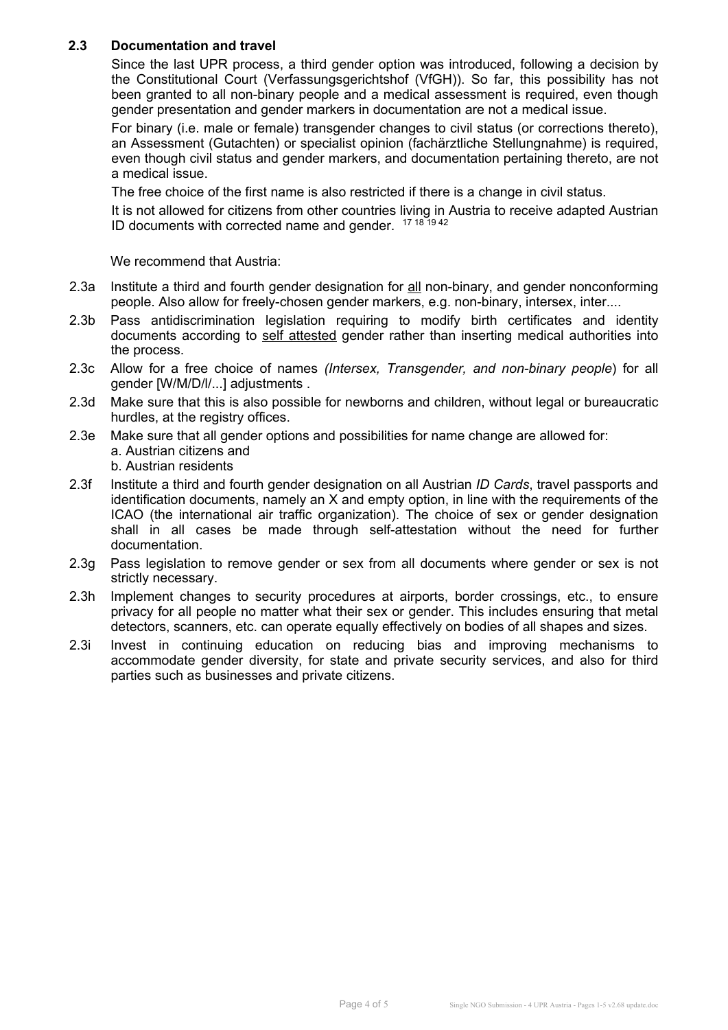# **2.3 Documentation and travel**

Since the last UPR process, <sup>a</sup> third gender option was introduced, following <sup>a</sup> decision by the Constitutional Court (Verfassungsgerichtshof (VfGH)). So far, this possibility has not been granted to all non-binary people and <sup>a</sup> medical assessment is required, even though gender presentation and gender markers in documentation are not <sup>a</sup> medical issue.

For binary (i.e. male or female) transgender changes to civil status (or corrections thereto), an Assessment (Gutachten) or specialist opinion (fachärztliche Stellungnahme) is required, even though civil status and gender markers, and documentation pertaining thereto, are not a medical issue.

The free choice of the first name is also restricted if there is <sup>a</sup> change in civil status.

It is not allowed for citizens from other countries living in Austria to receive adapted Austrian ID documents with corrected name and gender. <sup>17 18 19 42</sup>

- 2.3a Institute a third and fourth gender designation for all non-binary, and gender nonconforming people. Also allow for freely-chosen gender markers, e.g. non-binary, intersex, inter....
- 2.3b Pass antidiscrimination legislation requiring to modify birth certificates and identity documents according to self attested gender rather than inserting medical authorities into the process.
- 2.3c Allow for <sup>a</sup> free choice of names *(Intersex, Transgender, and non-binary people*) for all gender [W/M/D/l/...] adjustments .
- 2.3d Make sure that this is also possible for newborns and children, without legal or bureaucratic hurdles, at the registry offices.
- 2.3e Make sure that all gender options and possibilities for name change are allowed for: a. Austrian citizens and
	- b. Austrian residents
- 2.3f Institute <sup>a</sup> third and fourth gender designation on all Austrian *ID Cards*, travel passports and identification documents, namely an X and empty option, in line with the requirements of the ICAO (the international air traffic organization). The choice of sex or gender designation shall in all cases be made through self-attestation without the need for further documentation.
- 2.3g Pass legislation to remove gender or sex from all documents where gender or sex is not strictly necessary.
- 2.3h Implement changes to security procedures at airports, border crossings, etc., to ensure privacy for all people no matter what their sex or gender. This includes ensuring that metal detectors, scanners, etc. can operate equally effectively on bodies of all shapes and sizes.
- 2.3i Invest in continuing education on reducing bias and improving mechanisms to accommodate gender diversity, for state and private security services, and also for third parties such as businesses and private citizens.